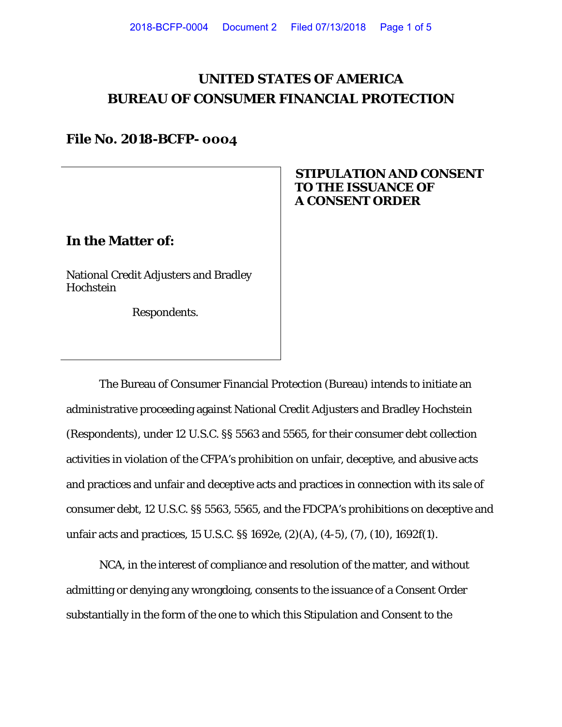# **UNITED STATES OF AMERICA BUREAU OF CONSUMER FINANCIAL PROTECTION**

## **File No. 2018-BCFP- 0004**

### **In the Matter of:**

National Credit Adjusters and Bradley Hochstein

Respondents.

## **STIPULATION AND CONSENT TO THE ISSUANCE OF A CONSENT ORDER**

The Bureau of Consumer Financial Protection (Bureau) intends to initiate an administrative proceeding against National Credit Adjusters and Bradley Hochstein (Respondents), under 12 U.S.C. §§ 5563 and 5565, for their consumer debt collection activities in violation of the CFPA's prohibition on unfair, deceptive, and abusive acts and practices and unfair and deceptive acts and practices in connection with its sale of consumer debt, 12 U.S.C. §§ 5563, 5565, and the FDCPA's prohibitions on deceptive and unfair acts and practices, 15 U.S.C. §§ 1692e, (2)(A), (4-5), (7), (10), 1692f(1).

NCA, in the interest of compliance and resolution of the matter, and without admitting or denying any wrongdoing, consents to the issuance of a Consent Order substantially in the form of the one to which this Stipulation and Consent to the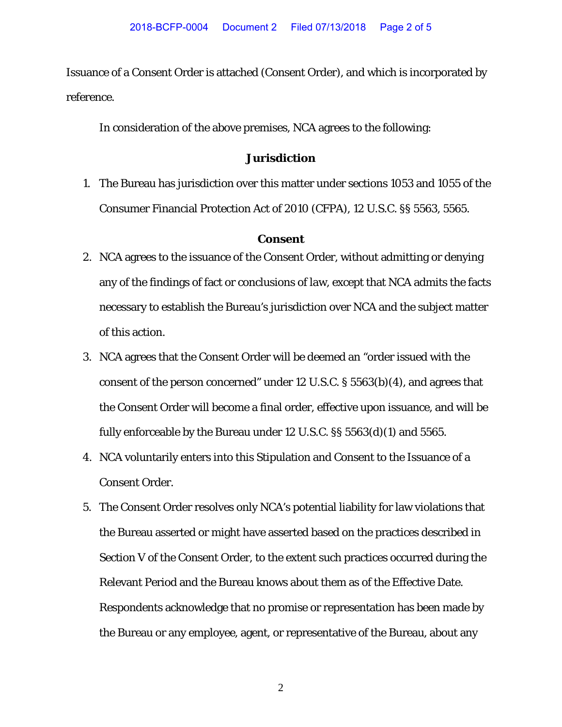Issuance of a Consent Order is attached (Consent Order), and which is incorporated by reference.

In consideration of the above premises, NCA agrees to the following:

#### **Jurisdiction**

1. The Bureau has jurisdiction over this matter under sections 1053 and 1055 of the Consumer Financial Protection Act of 2010 (CFPA), 12 U.S.C. §§ 5563, 5565.

#### **Consent**

- 2. NCA agrees to the issuance of the Consent Order, without admitting or denying any of the findings of fact or conclusions of law, except that NCA admits the facts necessary to establish the Bureau's jurisdiction over NCA and the subject matter of this action.
- 3. NCA agrees that the Consent Order will be deemed an "order issued with the consent of the person concerned" under 12 U.S.C. § 5563(b)(4), and agrees that the Consent Order will become a final order, effective upon issuance, and will be fully enforceable by the Bureau under 12 U.S.C. §§ 5563(d)(1) and 5565.
- 4. NCA voluntarily enters into this Stipulation and Consent to the Issuance of a Consent Order.
- 5. The Consent Order resolves only NCA's potential liability for law violations that the Bureau asserted or might have asserted based on the practices described in Section V of the Consent Order, to the extent such practices occurred during the Relevant Period and the Bureau knows about them as of the Effective Date. Respondents acknowledge that no promise or representation has been made by the Bureau or any employee, agent, or representative of the Bureau, about any

2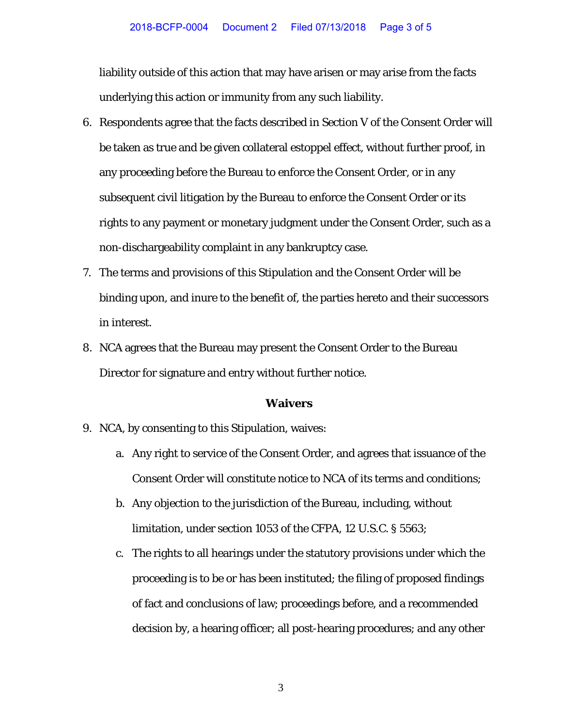liability outside of this action that may have arisen or may arise from the facts underlying this action or immunity from any such liability.

- 6. Respondents agree that the facts described in Section V of the Consent Order will be taken as true and be given collateral estoppel effect, without further proof, in any proceeding before the Bureau to enforce the Consent Order, or in any subsequent civil litigation by the Bureau to enforce the Consent Order or its rights to any payment or monetary judgment under the Consent Order, such as a non-dischargeability complaint in any bankruptcy case.
- 7. The terms and provisions of this Stipulation and the Consent Order will be binding upon, and inure to the benefit of, the parties hereto and their successors in interest.
- 8. NCA agrees that the Bureau may present the Consent Order to the Bureau Director for signature and entry without further notice.

#### **Waivers**

- 9. NCA, by consenting to this Stipulation, waives:
	- a. Any right to service of the Consent Order, and agrees that issuance of the Consent Order will constitute notice to NCA of its terms and conditions;
	- b. Any objection to the jurisdiction of the Bureau, including, without limitation, under section 1053 of the CFPA, 12 U.S.C. § 5563;
	- c. The rights to all hearings under the statutory provisions under which the proceeding is to be or has been instituted; the filing of proposed findings of fact and conclusions of law; proceedings before, and a recommended decision by, a hearing officer; all post-hearing procedures; and any other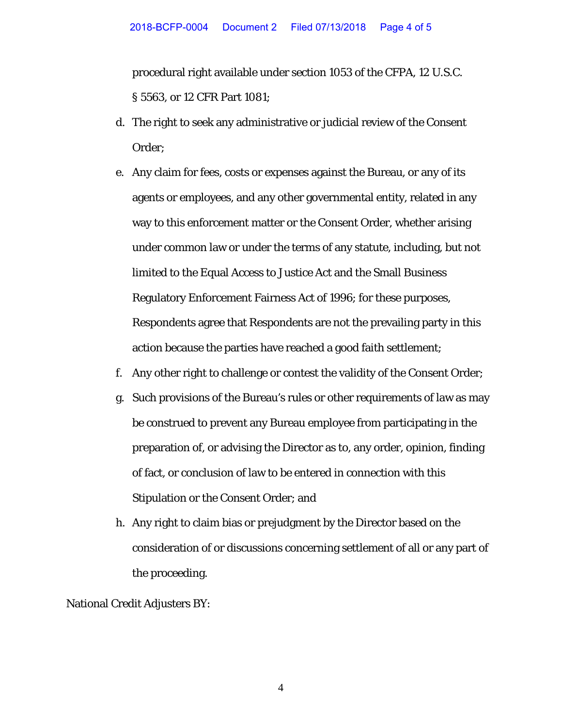procedural right available under section 1053 of the CFPA, 12 U.S.C. § 5563, or 12 CFR Part 1081;

- d. The right to seek any administrative or judicial review of the Consent Order;
- e. Any claim for fees, costs or expenses against the Bureau, or any of its agents or employees, and any other governmental entity, related in any way to this enforcement matter or the Consent Order, whether arising under common law or under the terms of any statute, including, but not limited to the Equal Access to Justice Act and the Small Business Regulatory Enforcement Fairness Act of 1996; for these purposes, Respondents agree that Respondents are not the prevailing party in this action because the parties have reached a good faith settlement;
- f. Any other right to challenge or contest the validity of the Consent Order;
- g. Such provisions of the Bureau's rules or other requirements of law as may be construed to prevent any Bureau employee from participating in the preparation of, or advising the Director as to, any order, opinion, finding of fact, or conclusion of law to be entered in connection with this Stipulation or the Consent Order; and
- h. Any right to claim bias or prejudgment by the Director based on the consideration of or discussions concerning settlement of all or any part of the proceeding.

National Credit Adjusters BY:

4